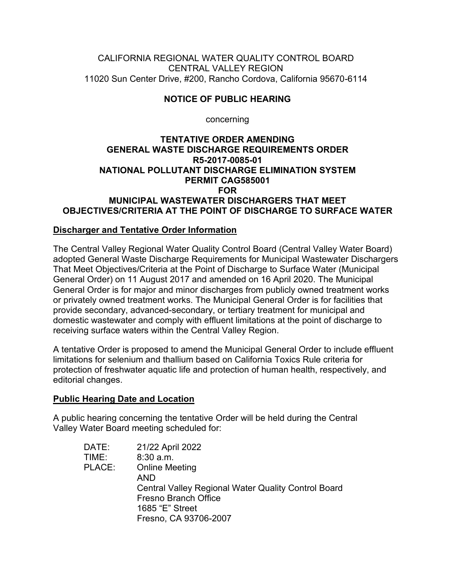CALIFORNIA REGIONAL WATER QUALITY CONTROL BOARD CENTRAL VALLEY REGION 11020 Sun Center Drive, #200, Rancho Cordova, California 95670-6114

# **NOTICE OF PUBLIC HEARING**

concerning

#### **TENTATIVE ORDER AMENDING GENERAL WASTE DISCHARGE REQUIREMENTS ORDER R5-2017-0085-01 NATIONAL POLLUTANT DISCHARGE ELIMINATION SYSTEM PERMIT CAG585001 FOR MUNICIPAL WASTEWATER DISCHARGERS THAT MEET OBJECTIVES/CRITERIA AT THE POINT OF DISCHARGE TO SURFACE WATER**

### **Discharger and Tentative Order Information**

The Central Valley Regional Water Quality Control Board (Central Valley Water Board) adopted General Waste Discharge Requirements for Municipal Wastewater Dischargers That Meet Objectives/Criteria at the Point of Discharge to Surface Water (Municipal General Order) on 11 August 2017 and amended on 16 April 2020. The Municipal General Order is for major and minor discharges from publicly owned treatment works or privately owned treatment works. The Municipal General Order is for facilities that provide secondary, advanced-secondary, or tertiary treatment for municipal and domestic wastewater and comply with effluent limitations at the point of discharge to receiving surface waters within the Central Valley Region.

A tentative Order is proposed to amend the Municipal General Order to include effluent limitations for selenium and thallium based on California Toxics Rule criteria for protection of freshwater aquatic life and protection of human health, respectively, and editorial changes.

### **Public Hearing Date and Location**

A public hearing concerning the tentative Order will be held during the Central Valley Water Board meeting scheduled for:

| DATE:  | 21/22 April 2022                                           |
|--------|------------------------------------------------------------|
| TIME:  | $8:30$ a.m.                                                |
| PLACE: | <b>Online Meeting</b>                                      |
|        | AND                                                        |
|        | <b>Central Valley Regional Water Quality Control Board</b> |
|        | <b>Fresno Branch Office</b>                                |
|        | 1685 "E" Street                                            |
|        | Fresno, CA 93706-2007                                      |
|        |                                                            |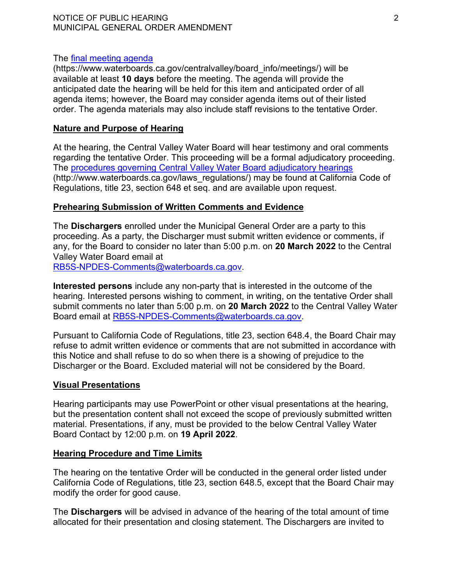#### NOTICE OF PUBLIC HEARING 2 MUNICIPAL GENERAL ORDER AMENDMENT

#### The [final meeting agenda](https://www.waterboards.ca.gov/centralvalley/board_info/meetings/)

(https://www.waterboards.ca.gov/centralvalley/board\_info/meetings/) will be available at least **10 days** before the meeting. The agenda will provide the anticipated date the hearing will be held for this item and anticipated order of all agenda items; however, the Board may consider agenda items out of their listed order. The agenda materials may also include staff revisions to the tentative Order.

#### **Nature and Purpose of Hearing**

At the hearing, the Central Valley Water Board will hear testimony and oral comments regarding the tentative Order. This proceeding will be a formal adjudicatory proceeding. The [procedures governing Central Valley Water Board adjudicatory hearings](http://www.waterboards.ca.gov/laws_regulations/) (http://www.waterboards.ca.gov/laws\_regulations/) may be found at California Code of Regulations, title 23, section 648 et seq. and are available upon request.

#### **Prehearing Submission of Written Comments and Evidence**

The **Dischargers** enrolled under the Municipal General Order are a party to this proceeding. As a party, the Discharger must submit written evidence or comments, if any, for the Board to consider no later than 5:00 p.m. on **20 March 2022** to the Central Valley Water Board email at [RB5S-NPDES-Comments@waterboards.ca.gov](mailto:RB5S-NPDES-Comments@waterboards.ca.gov).

**Interested persons** include any non-party that is interested in the outcome of the hearing. Interested persons wishing to comment, in writing, on the tentative Order shall submit comments no later than 5:00 p.m. on **20 March 2022** to the Central Valley Water Board email at [RB5S-NPDES-Comments@waterboards.ca.gov](mailto:RB5S-NPDES-Comments@waterboards.ca.gov).

Pursuant to California Code of Regulations, title 23, section 648.4, the Board Chair may refuse to admit written evidence or comments that are not submitted in accordance with this Notice and shall refuse to do so when there is a showing of prejudice to the Discharger or the Board. Excluded material will not be considered by the Board.

### **Visual Presentations**

Hearing participants may use PowerPoint or other visual presentations at the hearing, but the presentation content shall not exceed the scope of previously submitted written material. Presentations, if any, must be provided to the below Central Valley Water Board Contact by 12:00 p.m. on **19 April 2022**.

#### **Hearing Procedure and Time Limits**

The hearing on the tentative Order will be conducted in the general order listed under California Code of Regulations, title 23, section 648.5, except that the Board Chair may modify the order for good cause.

The **Dischargers** will be advised in advance of the hearing of the total amount of time allocated for their presentation and closing statement. The Dischargers are invited to